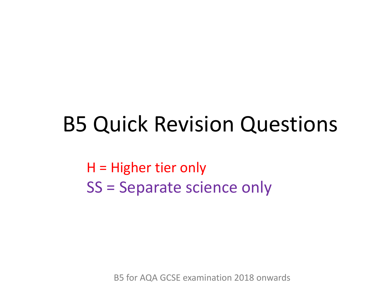### B5 Quick Revision Questions

H = Higher tier only SS = Separate science only

B5 for AQA GCSE examination 2018 onwards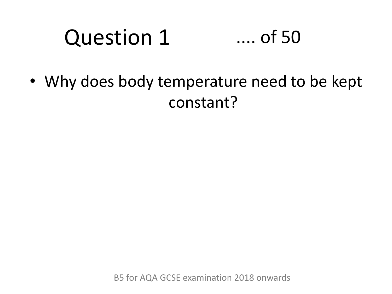#### Question 1 .... of 50

• Why does body temperature need to be kept constant?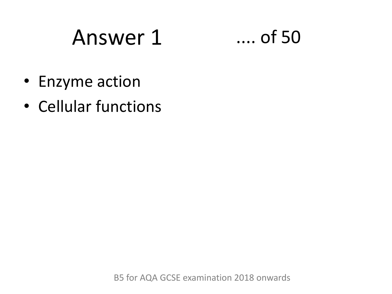# Answer 1 .... of 50



- Enzyme action
- Cellular functions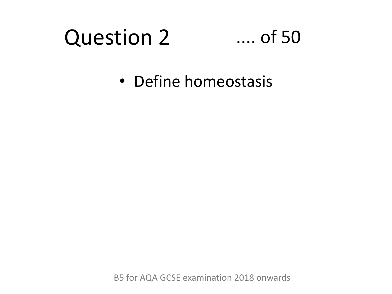### Question 2

#### .... of 50

• Define homeostasis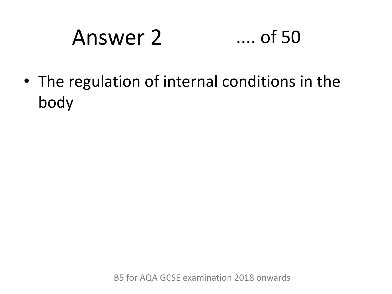# Answer 2 .... of 50

• The regulation of internal conditions in the body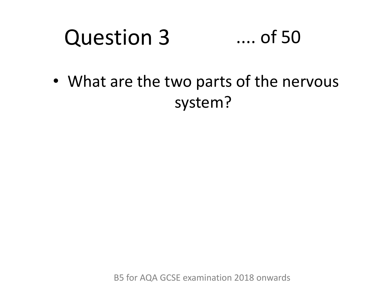#### Question 3 .... of 50

• What are the two parts of the nervous system?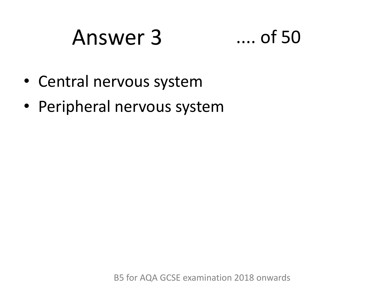## Answer 3 .... of 50



- Central nervous system
- Peripheral nervous system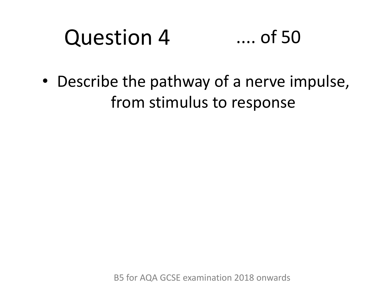#### Question 4 .... of 50

• Describe the pathway of a nerve impulse, from stimulus to response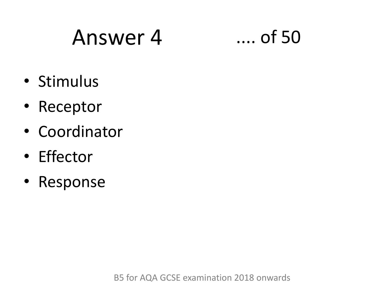# Answer 4 .... of 50



- Stimulus
- Receptor
- Coordinator
- Effector
- Response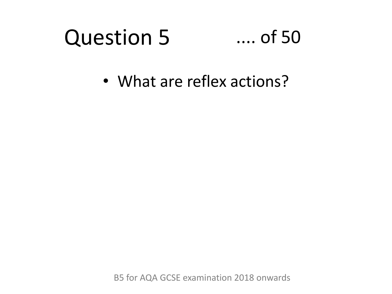#### Question 5 .... of 50

• What are reflex actions?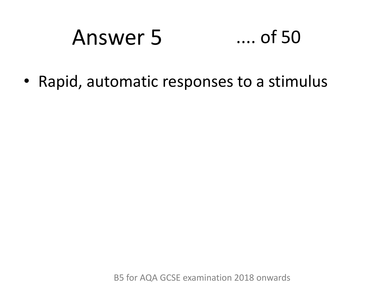# Answer 5 .... of 50

• Rapid, automatic responses to a stimulus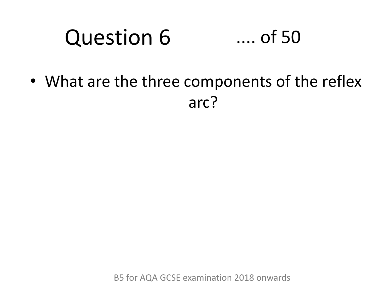#### Question 6 .... of 50

• What are the three components of the reflex arc?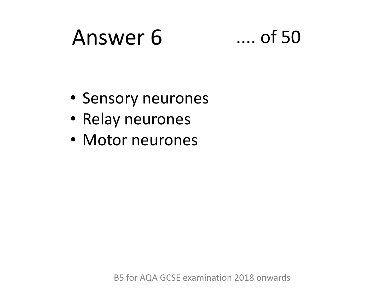### Answer 6 .... of 50

- Sensory neurones
- Relay neurones
- Motor neurones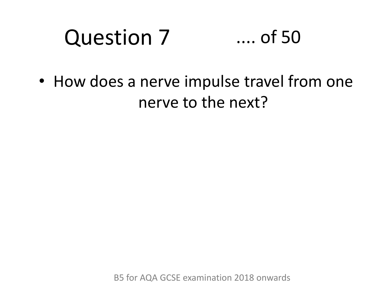#### Question 7 .... of 50

• How does a nerve impulse travel from one nerve to the next?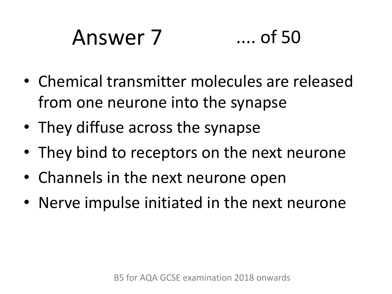# Answer 7 .... of 50

- Chemical transmitter molecules are released from one neurone into the synapse
- They diffuse across the synapse
- They bind to receptors on the next neurone
- Channels in the next neurone open
- Nerve impulse initiated in the next neurone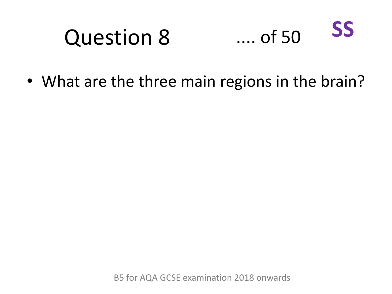#### Question 8 .... of 50 **SS**

• What are the three main regions in the brain?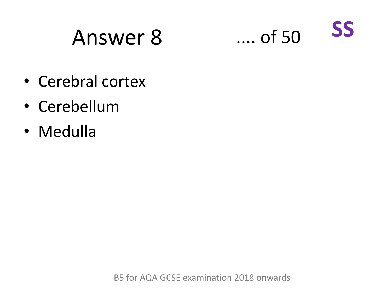# Answer 8 .... of 50



- Cerebral cortex
- Cerebellum
- Medulla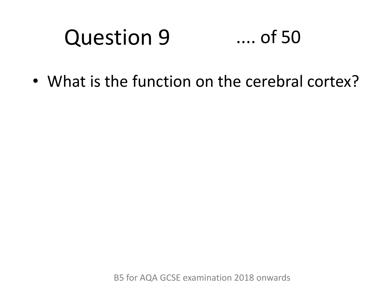#### Question 9 .... of 50

• What is the function on the cerebral cortex?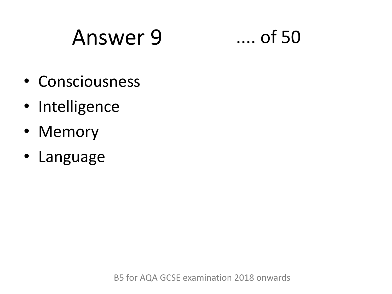# Answer 9 .... of 50

- Consciousness
- Intelligence
- Memory
- Language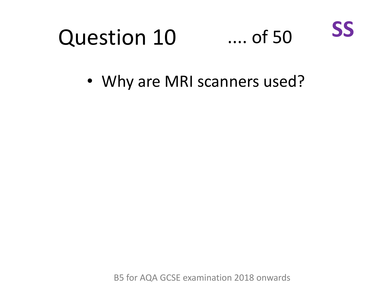

• Why are MRI scanners used?

B5 for AQA GCSE examination 2018 onwards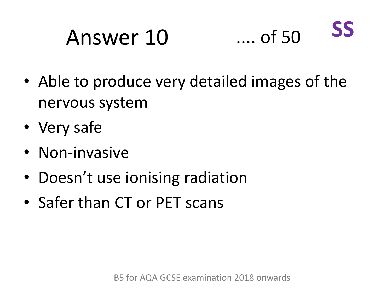#### Answer 10 .... of 50 **SS**

- Able to produce very detailed images of the nervous system
- Very safe
- Non-invasive
- Doesn't use ionising radiation
- Safer than CT or PET scans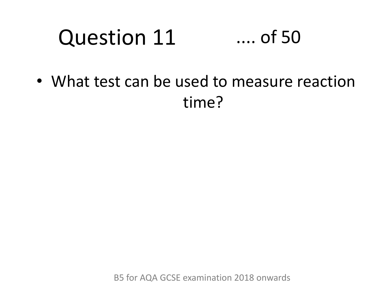#### Question 11 .... of 50

• What test can be used to measure reaction time?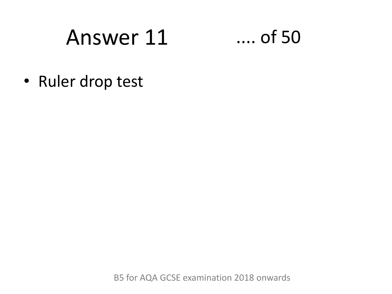# Answer 11

 $\dots$  of 50

• Ruler drop test

B5 for AQA GCSE examination 2018 onwards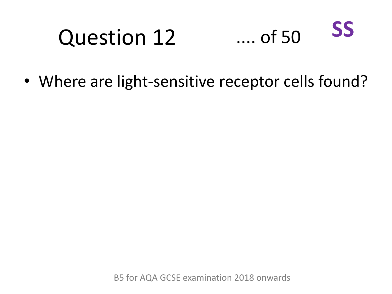#### Question 12 .... of 50 **SS**

• Where are light-sensitive receptor cells found?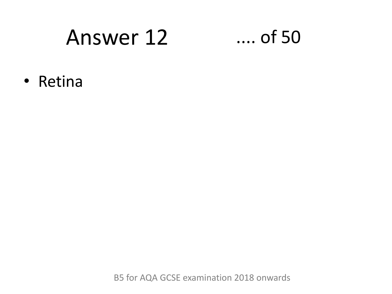### Answer 12

#### $\ldots$  of 50

• Retina

B5 for AQA GCSE examination 2018 onwards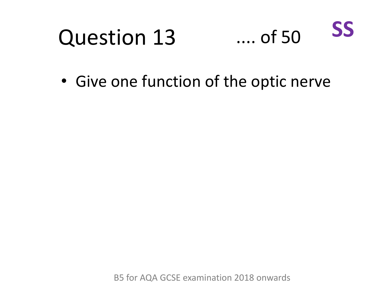#### Question 13 .... of 50 **SS**

• Give one function of the optic nerve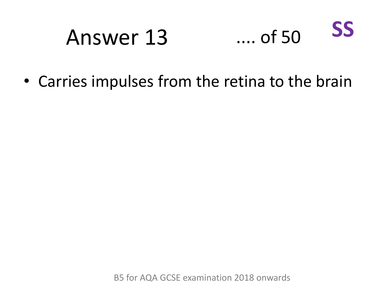#### **SS**  $\dots$  of 50 Answer 13

• Carries impulses from the retina to the brain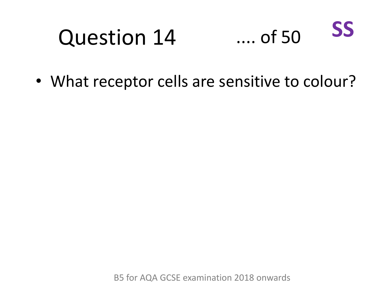#### Question 14 .... of 50 **SS**

• What receptor cells are sensitive to colour?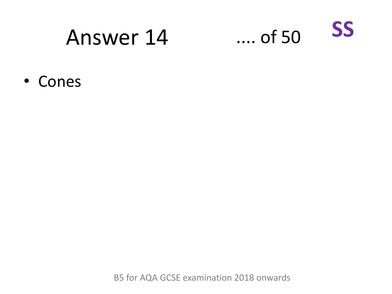### Answer 14



• Cones

B5 for AQA GCSE examination 2018 onwards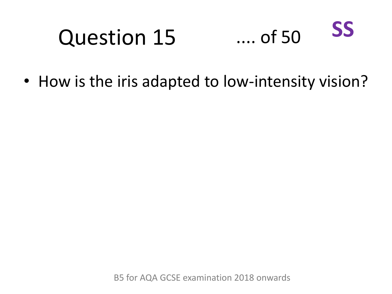#### Question 15 .... of 50 **SS**

• How is the iris adapted to low-intensity vision?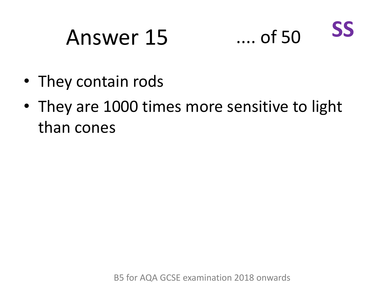# Answer 15 .... of 50



- They contain rods
- They are 1000 times more sensitive to light than cones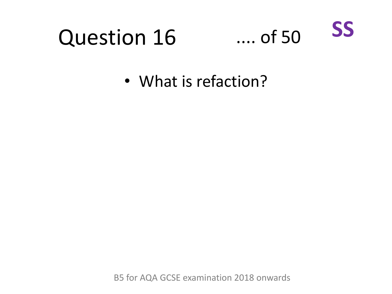### **Question 16**



• What is refaction?

B5 for AQA GCSE examination 2018 onwards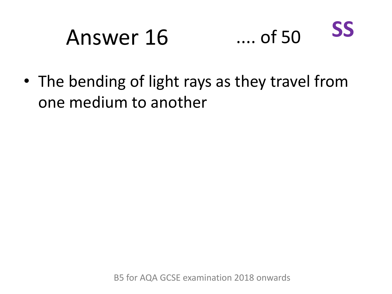#### **SS**  $...$  of 50 Answer 16

• The bending of light rays as they travel from one medium to another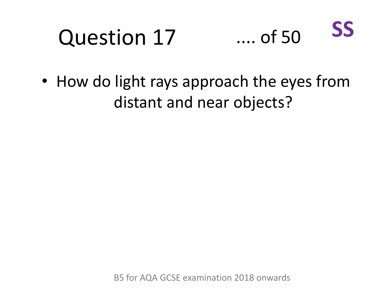# Question 17



• How do light rays approach the eyes from distant and near objects?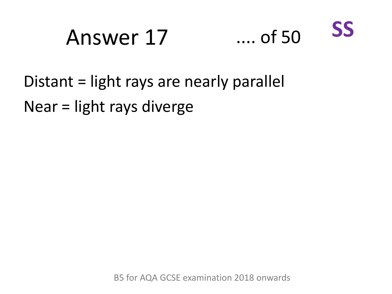# Answer 17 .... of 50



Distant = light rays are nearly parallel Near = light rays diverge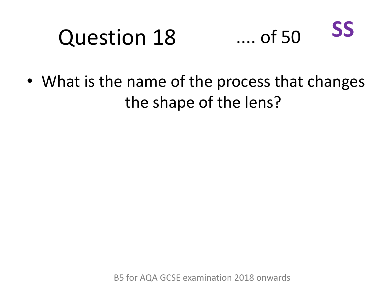#### Question 18 .... of 50 **SS**

• What is the name of the process that changes the shape of the lens?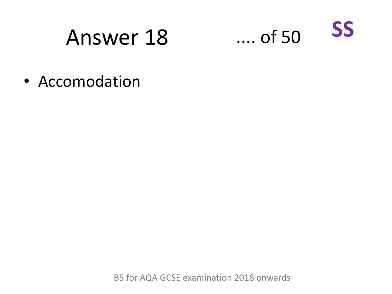### Answer 18



• Accomodation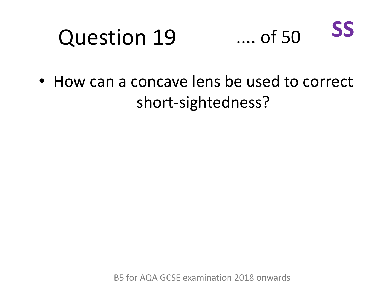#### Question 19 .... of 50 **SS**

• How can a concave lens be used to correct short-sightedness?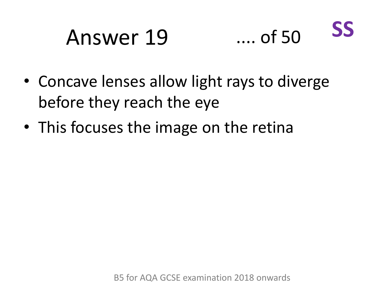#### Answer 19 .... of 50 **SS**

- Concave lenses allow light rays to diverge before they reach the eye
- This focuses the image on the retina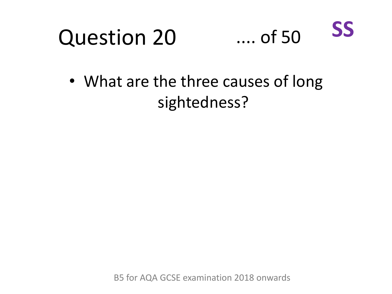



• What are the three causes of long sightedness?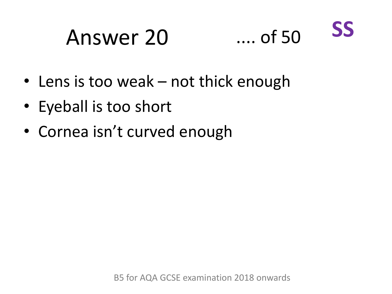### Answer 20 .... of 50



- Lens is too weak not thick enough
- Eyeball is too short
- Cornea isn't curved enough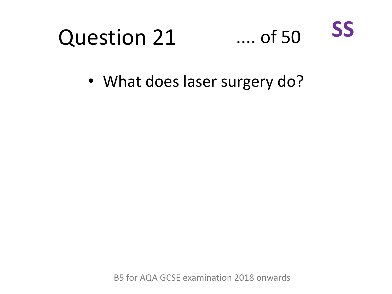

• What does laser surgery do?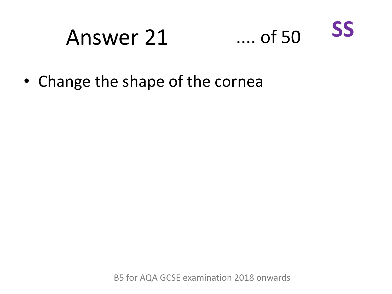### Answer 21



• Change the shape of the cornea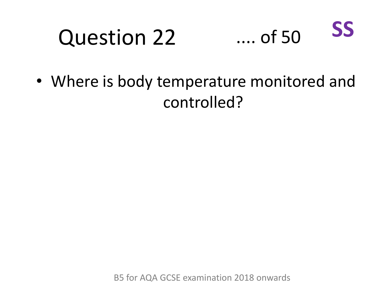### Question 22



• Where is body temperature monitored and controlled?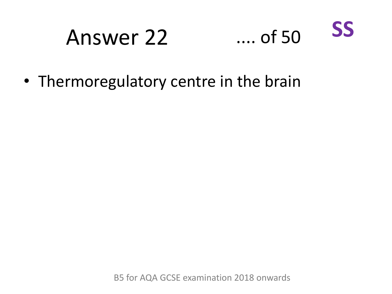### Answer 22



• Thermoregulatory centre in the brain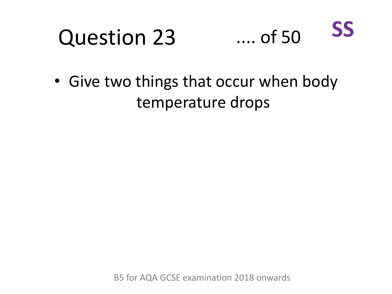#### Question 23 .... of 50 **SS**

• Give two things that occur when body temperature drops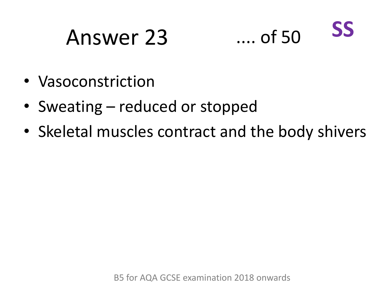### Answer 23 .... of 50



- Vasoconstriction
- Sweating reduced or stopped
- Skeletal muscles contract and the body shivers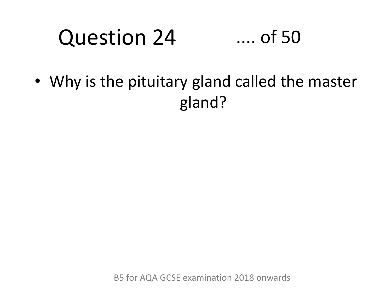#### Question 24 .... of 50

• Why is the pituitary gland called the master gland?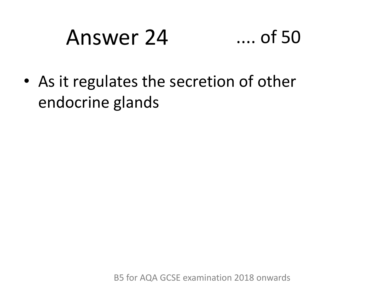## Answer 24 .... of 50

• As it regulates the secretion of other endocrine glands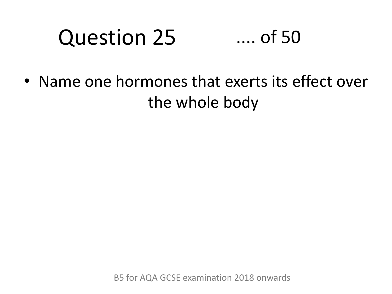#### Question 25 .... of 50

• Name one hormones that exerts its effect over the whole body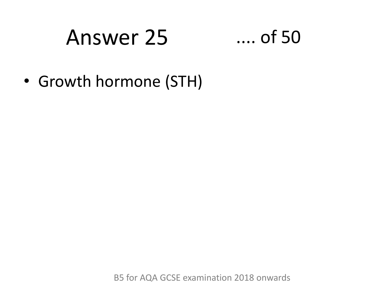### Answer 25 .... of 50

• Growth hormone (STH)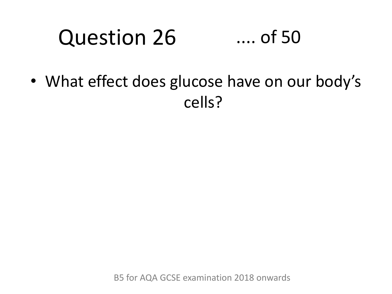#### Question 26 .... of 50

• What effect does glucose have on our body's cells?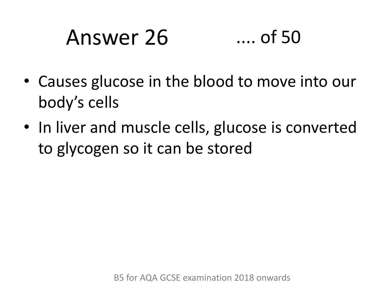## Answer 26 .... of 50

- Causes glucose in the blood to move into our body's cells
- In liver and muscle cells, glucose is converted to glycogen so it can be stored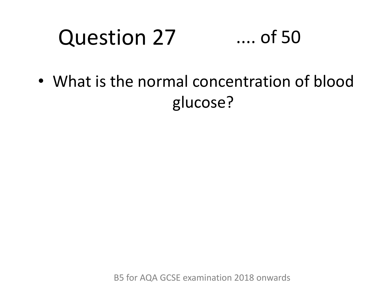#### Question 27 .... of 50

• What is the normal concentration of blood glucose?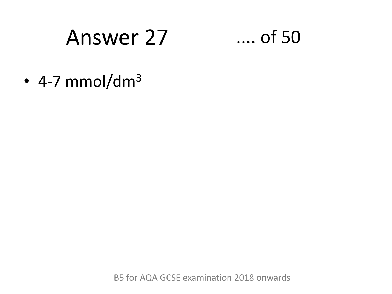### Answer 27

### $\dots$  of 50

• 4-7 mmol/dm<sup>3</sup>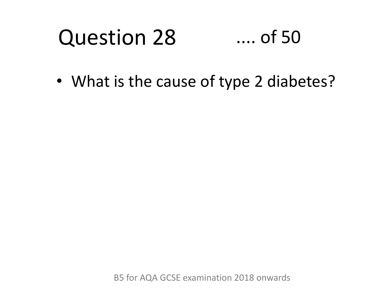#### Question 28 .... of 50

• What is the cause of type 2 diabetes?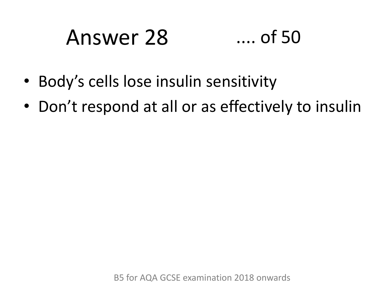# Answer 28 .... of 50

- Body's cells lose insulin sensitivity
- Don't respond at all or as effectively to insulin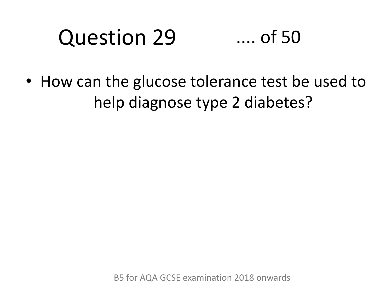#### Question 29 .... of 50

• How can the glucose tolerance test be used to help diagnose type 2 diabetes?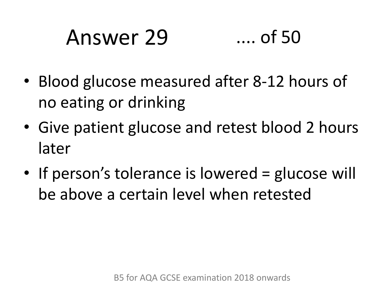### Answer 29 .... of 50

- Blood glucose measured after 8-12 hours of no eating or drinking
- Give patient glucose and retest blood 2 hours later
- If person's tolerance is lowered = glucose will be above a certain level when retested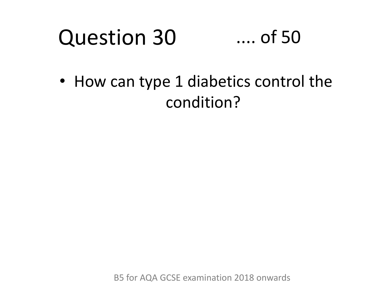#### Question 30 .... of 50

• How can type 1 diabetics control the condition?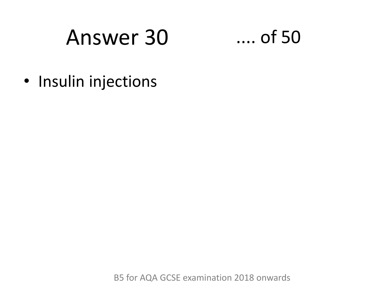### Answer 30



· Insulin injections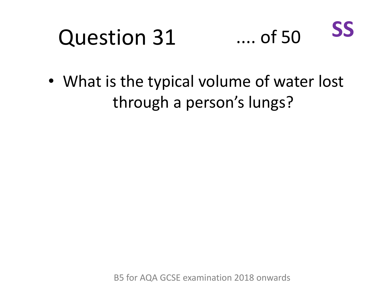#### Question 31 .... of 50 **SS**

• What is the typical volume of water lost through a person's lungs?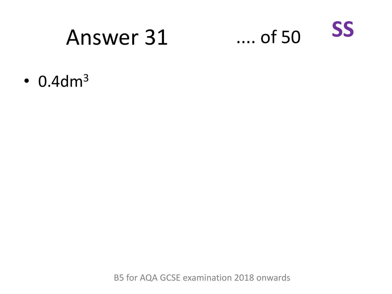### Answer 31



 $\cdot$  0.4dm<sup>3</sup>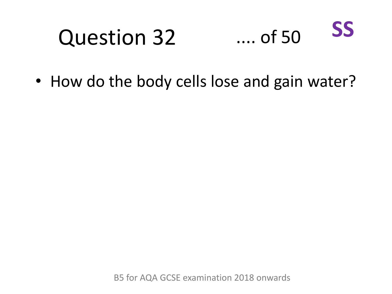#### Question 32 .... of 50 **SS**

• How do the body cells lose and gain water?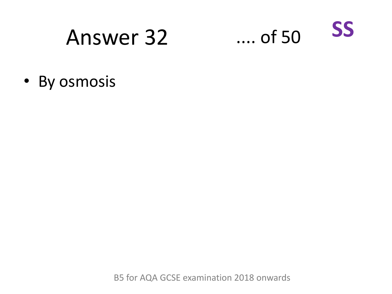### Answer 32



• By osmosis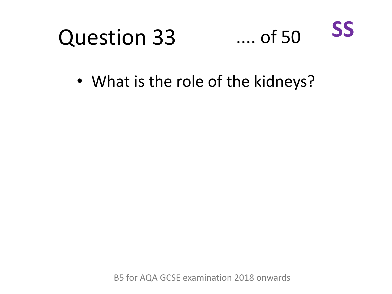

• What is the role of the kidneys?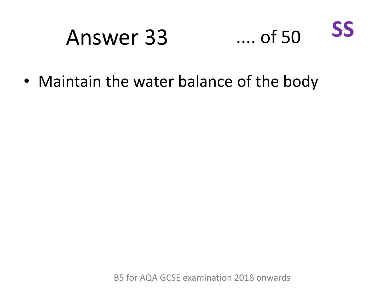### Answer 33 .... of 50 **SS**

• Maintain the water balance of the body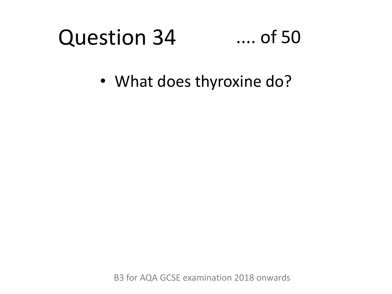#### Question 34 .... of 50

• What does thyroxine do?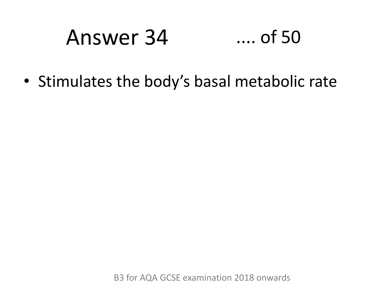### Answer 34 .... of 50

• Stimulates the body's basal metabolic rate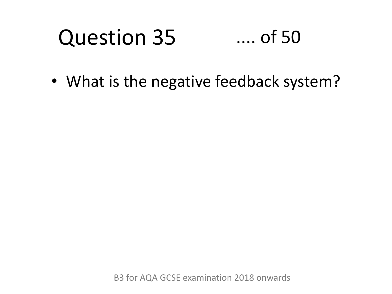#### Question 35 .... of 50

• What is the negative feedback system?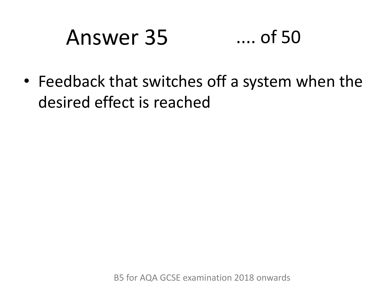### Answer 35 .... of 50

• Feedback that switches off a system when the desired effect is reached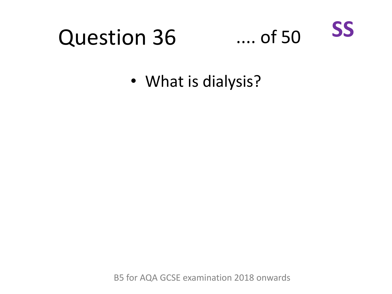

### **Question 36**

• What is dialysis?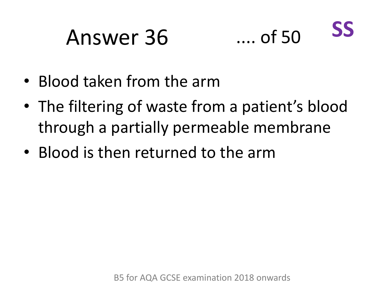### Answer 36 .... of 50



- Blood taken from the arm
- The filtering of waste from a patient's blood through a partially permeable membrane
- Blood is then returned to the arm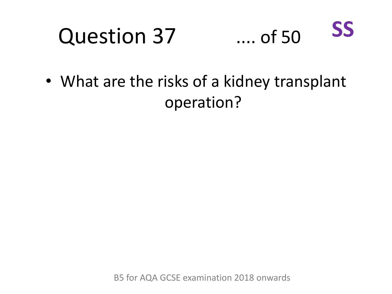## Question 37



• What are the risks of a kidney transplant operation?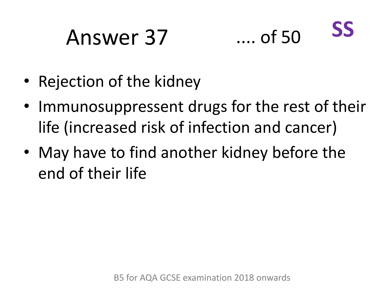# Answer 37 .... of 50



- Rejection of the kidney
- Immunosuppressent drugs for the rest of their life (increased risk of infection and cancer)
- May have to find another kidney before the end of their life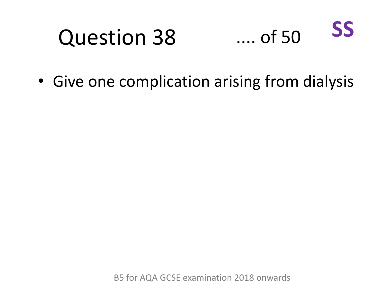### Question 38

#### .... of 50 **SS**

• Give one complication arising from dialysis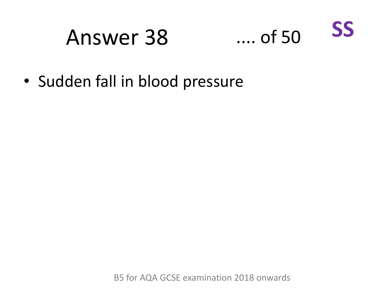### Answer 38 .... of 50



• Sudden fall in blood pressure

B5 for AQA GCSE examination 2018 onwards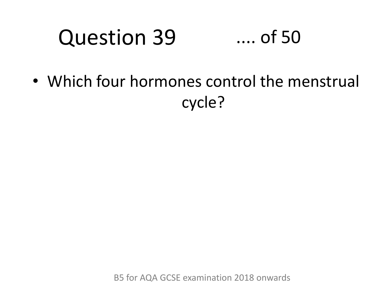#### Question 39 .... of 50

• Which four hormones control the menstrual cycle?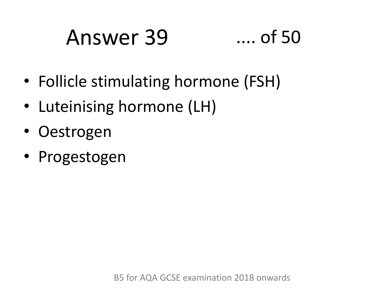# Answer 39 .... of 50

- Follicle stimulating hormone (FSH)
- Luteinising hormone (LH)
- Oestrogen
- Progestogen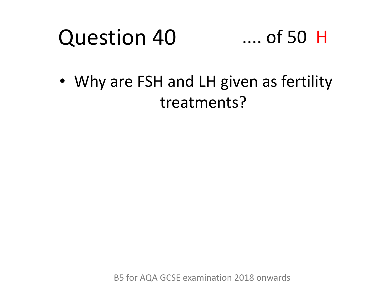#### Question 40 .... of 50 H

• Why are FSH and LH given as fertility treatments?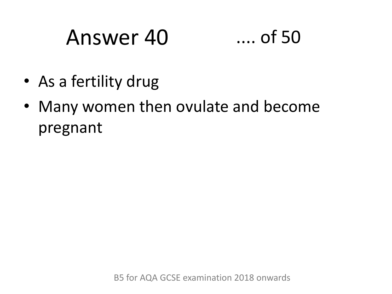# Answer 40 .... of 50

- As a fertility drug
- Many women then ovulate and become pregnant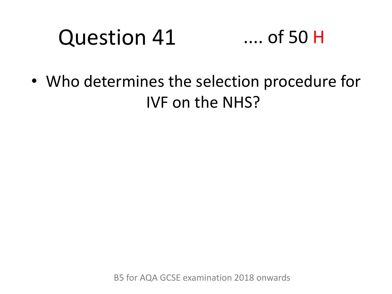#### Question 41 .... of 50 H

• Who determines the selection procedure for IVF on the NHS?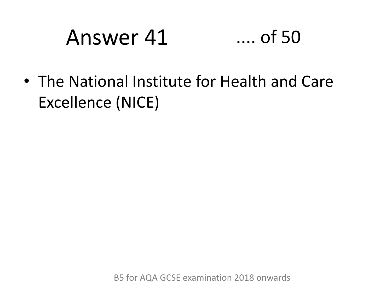# Answer 41 .... of 50

• The National Institute for Health and Care Excellence (NICE)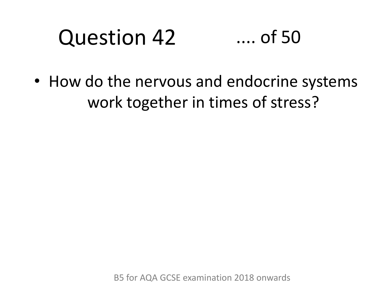#### Question 42 .... of 50

• How do the nervous and endocrine systems work together in times of stress?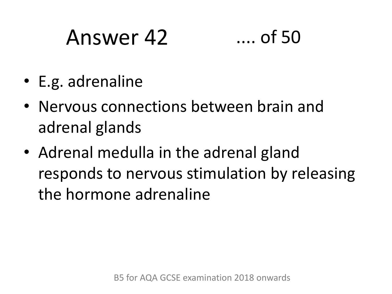### Answer 42 .... of 50



- E.g. adrenaline
- Nervous connections between brain and adrenal glands
- Adrenal medulla in the adrenal gland responds to nervous stimulation by releasing the hormone adrenaline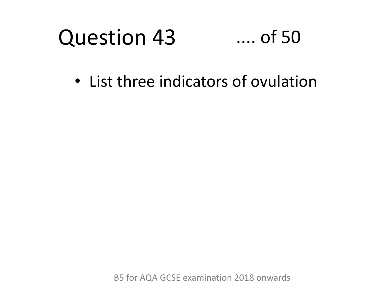#### Question 43 .... of 50

• List three indicators of ovulation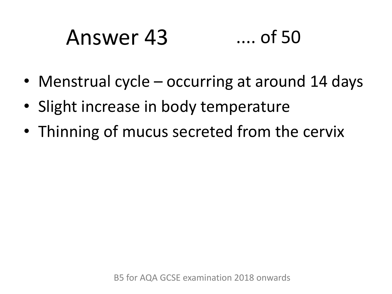# Answer 43 .... of 50

- Menstrual cycle occurring at around 14 days
- Slight increase in body temperature
- Thinning of mucus secreted from the cervix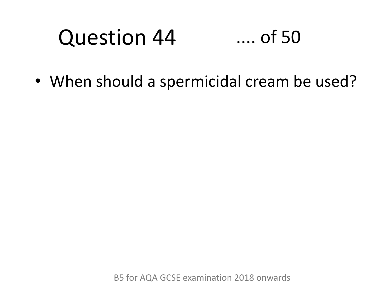#### Question 44 .... of 50

• When should a spermicidal cream be used?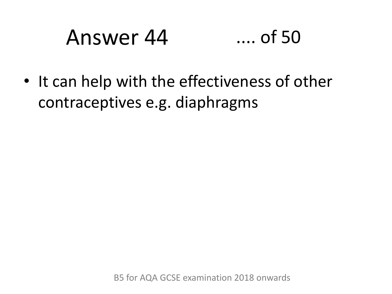# Answer 44 .... of 50

• It can help with the effectiveness of other contraceptives e.g. diaphragms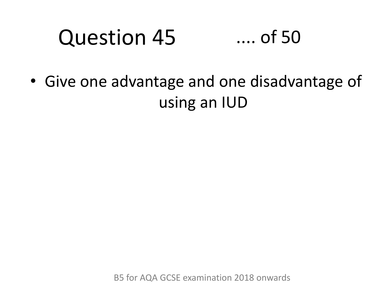#### Question 45 .... of 50

• Give one advantage and one disadvantage of using an IUD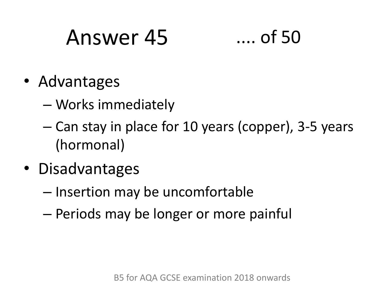### Answer 45 .... of 50

- Advantages
	- Works immediately
	- Can stay in place for 10 years (copper), 3-5 years (hormonal)
- Disadvantages
	- Insertion may be uncomfortable
	- Periods may be longer or more painful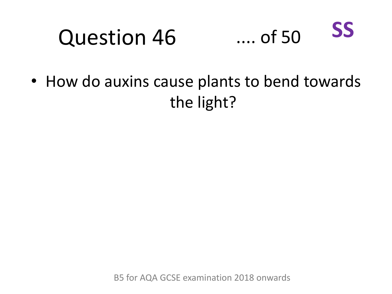#### Question 46 .... of 50 **SS**

• How do auxins cause plants to bend towards the light?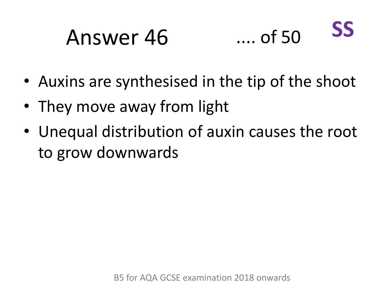### Answer 46 .... of 50



- Auxins are synthesised in the tip of the shoot
- They move away from light
- Unequal distribution of auxin causes the root to grow downwards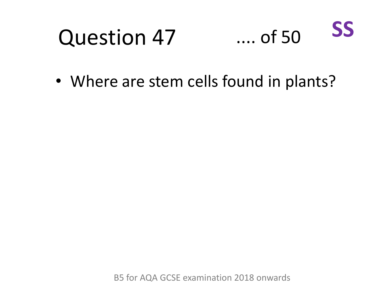#### Question 47 .... of 50

**SS**

• Where are stem cells found in plants?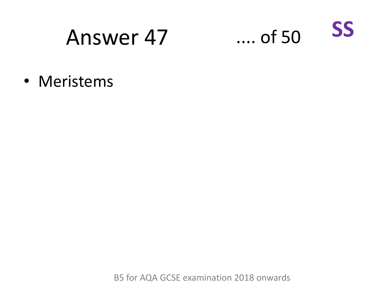#### Answer 47 .... of 50



• Meristems

B5 for AQA GCSE examination 2018 onwards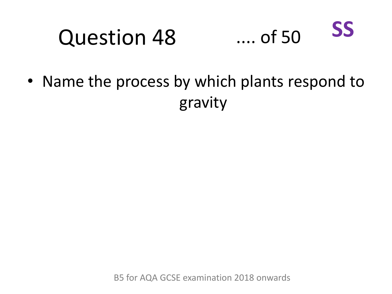#### Question 48 .... of 50 **SS**

• Name the process by which plants respond to gravity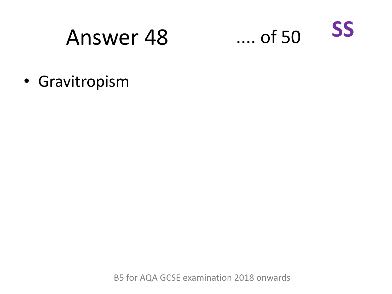### Answer 48 .... of 50



• Gravitropism

B5 for AQA GCSE examination 2018 onwards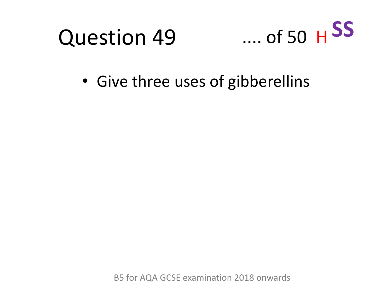



• Give three uses of gibberellins

B5 for AQA GCSE examination 2018 onwards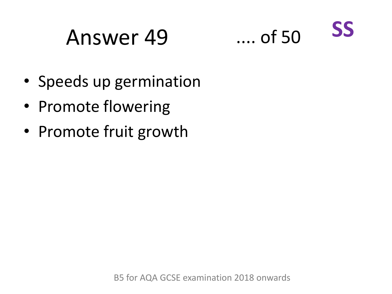### Answer 49 .... of 50



- Speeds up germination
- Promote flowering
- Promote fruit growth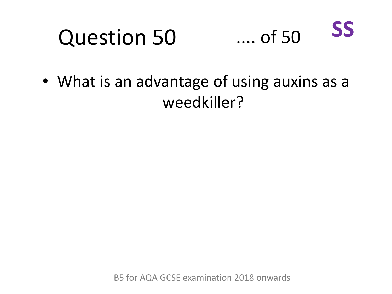#### Question 50 .... of 50 **SS**

• What is an advantage of using auxins as a weedkiller?